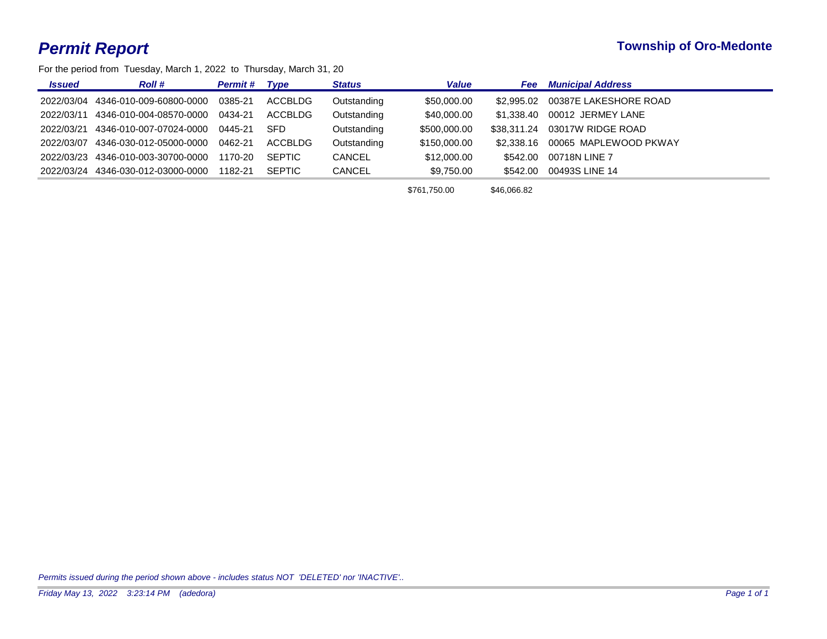For the period from Tuesday, March 1, 2022 to Thursday, March 31, 20

| <b>Issued</b> | <b>Roll #</b>           | <b>Permit #</b> | Tvpe          | <b>Status</b> | <b>Value</b> | <b>Fee</b>  | <b>Municipal Address</b> |
|---------------|-------------------------|-----------------|---------------|---------------|--------------|-------------|--------------------------|
| 2022/03/04    | 4346-010-009-60800-0000 | 0385-21         | ACCBLDG       | Outstanding   | \$50,000.00  | \$2.995.02  | 00387E LAKESHORE ROAD    |
| 2022/03/11    | 4346-010-004-08570-0000 | 0434-21         | ACCBLDG       | Outstanding   | \$40,000.00  | \$1,338,40  | 00012 JERMEY LANE        |
| 2022/03/21    | 4346-010-007-07024-0000 | 0445-21         | <b>SFD</b>    | Outstanding   | \$500,000.00 | \$38.311.24 | 03017W RIDGE ROAD        |
| 2022/03/07    | 4346-030-012-05000-0000 | 0462-21         | ACCBLDG       | Outstanding   | \$150,000.00 | \$2,338.16  | 00065 MAPLEWOOD PKWAY    |
| 2022/03/23    | 4346-010-003-30700-0000 | 1170-20         | <b>SEPTIC</b> | <b>CANCEL</b> | \$12,000.00  | \$542.00    | 00718N LINE 7            |
| 2022/03/24    | 4346-030-012-03000-0000 | 1182-21         | <b>SEPTIC</b> | <b>CANCEL</b> | \$9,750.00   | \$542.00    | 00493S LINE 14           |
|               |                         |                 |               |               | $\cdots$     |             |                          |

\$761,750.00 \$46,066.82

*Permits issued during the period shown above - includes status NOT 'DELETED' nor 'INACTIVE'..*